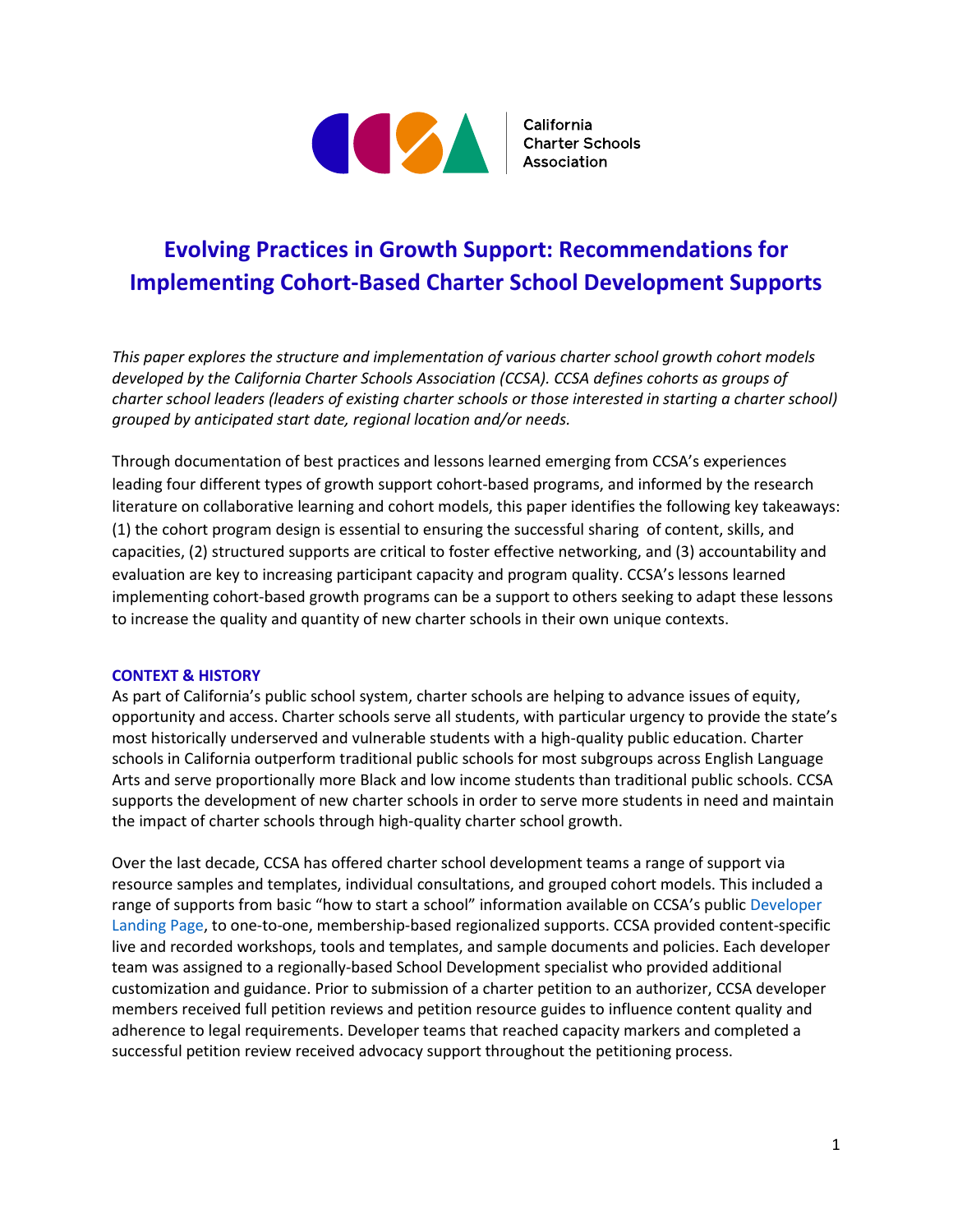

# **Evolving Practices in Growth Support: Recommendations for Implementing Cohort-Based Charter School Development Supports**

*This paper explores the structure and implementation of various charter school growth cohort models developed by the California Charter Schools Association (CCSA). CCSA defines cohorts as groups of charter school leaders (leaders of existing charter schools or those interested in starting a charter school) grouped by anticipated start date, regional location and/or needs.* 

Through documentation of best practices and lessons learned emerging from CCSA's experiences leading four different types of growth support cohort-based programs, and informed by the research literature on collaborative learning and cohort models, this paper identifies the following key takeaways: (1) the cohort program design is essential to ensuring the successful sharing of content, skills, and capacities, (2) structured supports are critical to foster effective networking, and (3) accountability and evaluation are key to increasing participant capacity and program quality. CCSA's lessons learned implementing cohort-based growth programs can be a support to others seeking to adapt these lessons to increase the quality and quantity of new charter schools in their own unique contexts.

#### **CONTEXT & HISTORY**

As part of California's public school system, charter schools are helping to advance issues of equity, opportunity and access. Charter schools serve all students, with particular urgency to provide the state's most historically underserved and vulnerable students with a high-quality public education. Charter schools in California outperform traditional public schools for most subgroups across English Language Arts and serve proportionally more Black and low income students than traditional public schools. CCSA supports the development of new charter schools in order to serve more students in need and maintain the impact of charter schools through high-quality charter school growth.

Over the last decade, CCSA has offered charter school development teams a range of support via resource samples and templates, individual consultations, and grouped cohort models. This included a range of supports from basic "how to start a school" information available on CCSA's public [Developer](https://info.ccsa.org/starting-a-charter-school)  [Landing Page,](https://info.ccsa.org/starting-a-charter-school) to one-to-one, membership-based regionalized supports. CCSA provided content-specific live and recorded workshops, tools and templates, and sample documents and policies. Each developer team was assigned to a regionally-based School Development specialist who provided additional customization and guidance. Prior to submission of a charter petition to an authorizer, CCSA developer members received full petition reviews and petition resource guides to influence content quality and adherence to legal requirements. Developer teams that reached capacity markers and completed a successful petition review received advocacy support throughout the petitioning process.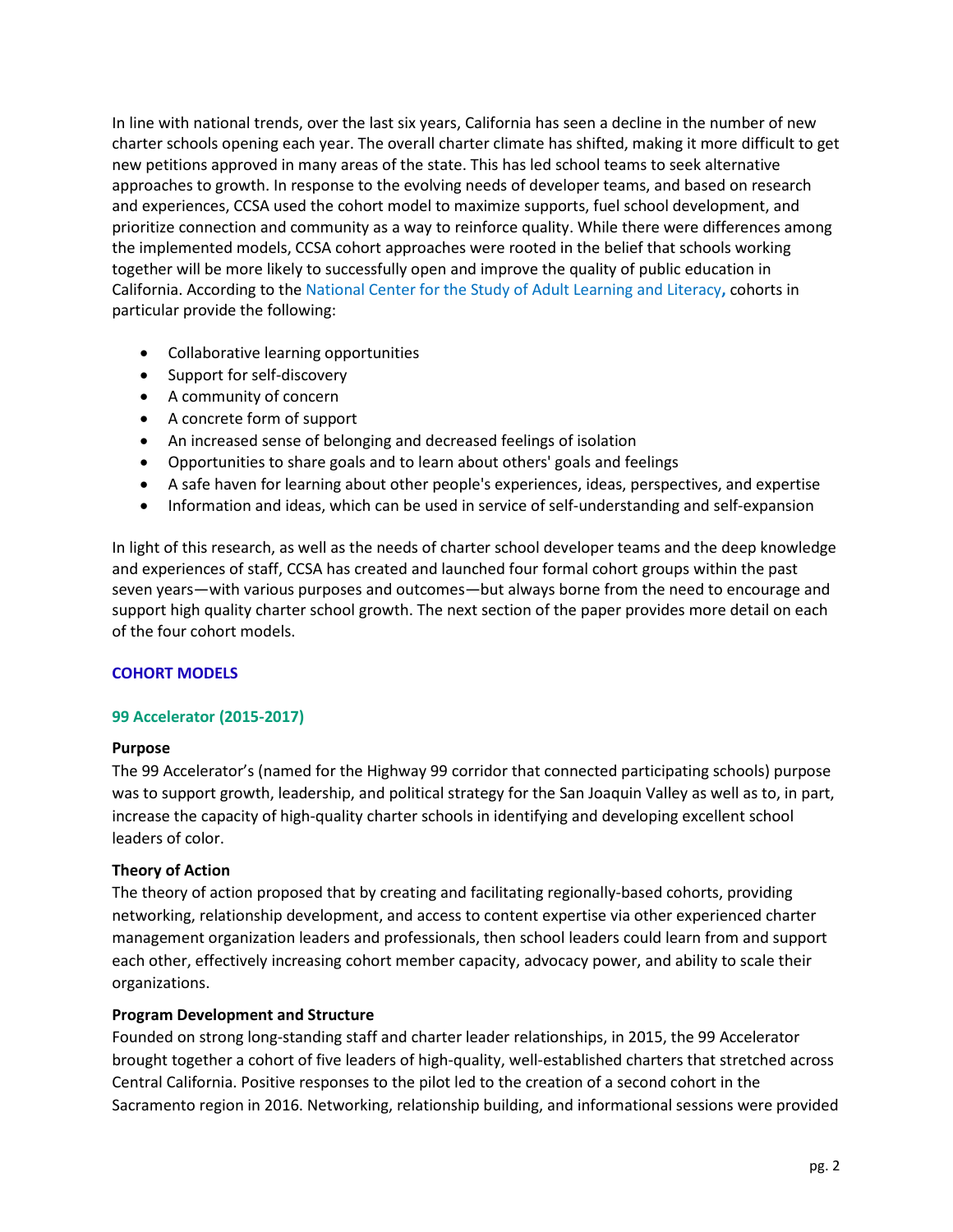In line with national trends, over the last six years, California has seen a decline in the number of new charter schools opening each year. The overall charter climate has shifted, making it more difficult to get new petitions approved in many areas of the state. This has led school teams to seek alternative approaches to growth. In response to the evolving needs of developer teams, and based on research and experiences, CCSA used the cohort model to maximize supports, fuel school development, and prioritize connection and community as a way to reinforce quality. While there were differences among the implemented models, CCSA cohort approaches were rooted in the belief that schools working together will be more likely to successfully open and improve the quality of public education in California. According to th[e National Center for the Study of Adult Learning and Literacy](http://www.ncsall.net/index.html@id=1.html)**,** cohorts in particular provide the following:

- Collaborative learning opportunities
- Support for self-discovery
- A community of concern
- A concrete form of support
- An increased sense of belonging and decreased feelings of isolation
- Opportunities to share goals and to learn about others' goals and feelings
- A safe haven for learning about other people's experiences, ideas, perspectives, and expertise
- Information and ideas, which can be used in service of self-understanding and self-expansion

In light of this research, as well as the needs of charter school developer teams and the deep knowledge and experiences of staff, CCSA has created and launched four formal cohort groups within the past seven years—with various purposes and outcomes—but always borne from the need to encourage and support high quality charter school growth. The next section of the paper provides more detail on each of the four cohort models.

## **COHORT MODELS**

## **99 Accelerator (2015-2017)**

## **Purpose**

The 99 Accelerator's (named for the Highway 99 corridor that connected participating schools) purpose was to support growth, leadership, and political strategy for the San Joaquin Valley as well as to, in part, increase the capacity of high-quality charter schools in identifying and developing excellent school leaders of color.

## **Theory of Action**

The theory of action proposed that by creating and facilitating regionally-based cohorts, providing networking, relationship development, and access to content expertise via other experienced charter management organization leaders and professionals, then school leaders could learn from and support each other, effectively increasing cohort member capacity, advocacy power, and ability to scale their organizations.

## **Program Development and Structure**

Founded on strong long-standing staff and charter leader relationships, in 2015, the 99 Accelerator brought together a cohort of five leaders of high-quality, well-established charters that stretched across Central California. Positive responses to the pilot led to the creation of a second cohort in the Sacramento region in 2016. Networking, relationship building, and informational sessions were provided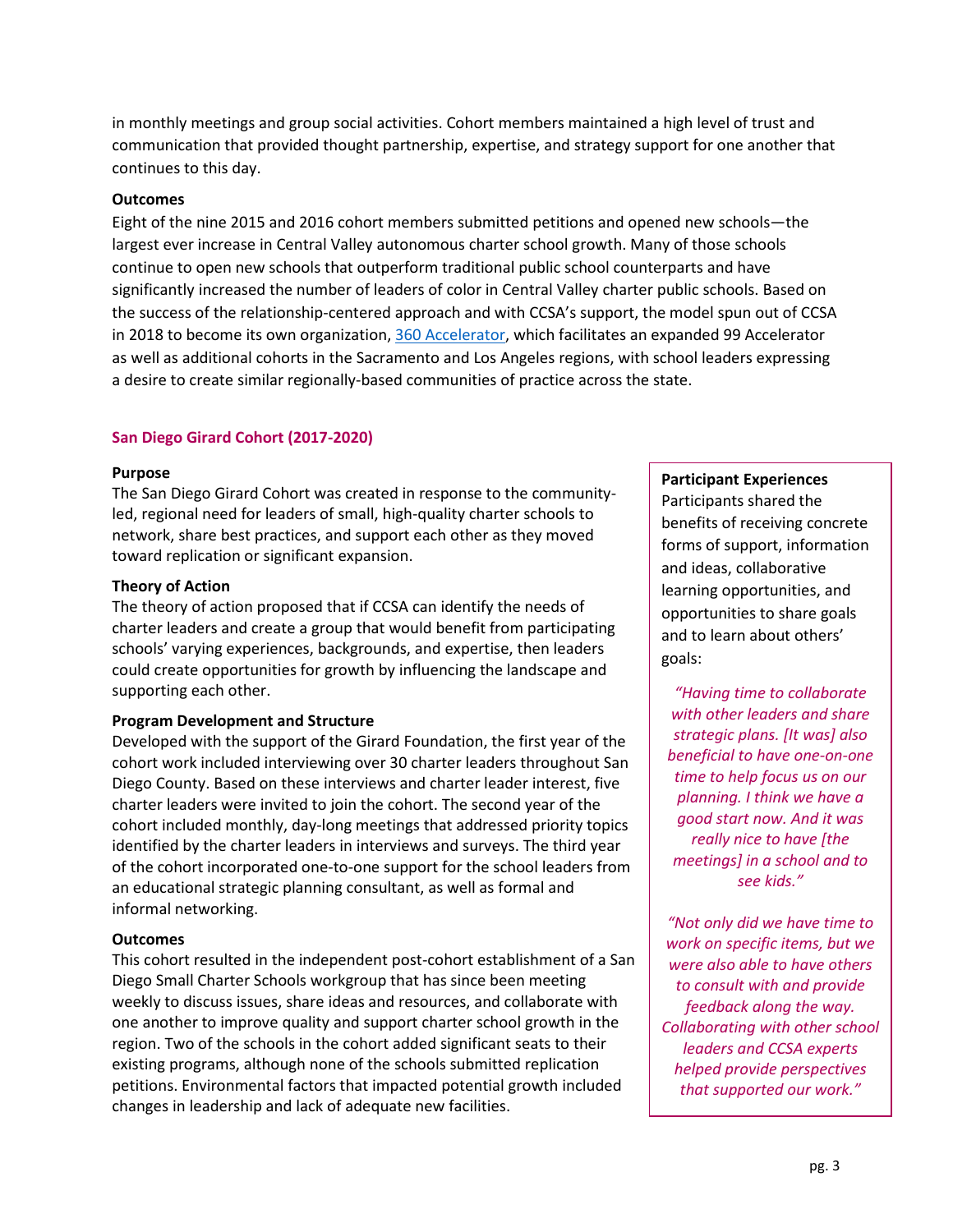in monthly meetings and group social activities. Cohort members maintained a high level of trust and communication that provided thought partnership, expertise, and strategy support for one another that continues to this day.

## **Outcomes**

Eight of the nine 2015 and 2016 cohort members submitted petitions and opened new schools—the largest ever increase in Central Valley autonomous charter school growth. Many of those schools continue to open new schools that outperform traditional public school counterparts and have significantly increased the number of leaders of color in Central Valley charter public schools. Based on the success of the relationship-centered approach and with CCSA's support, the model spun out of CCSA in 2018 to become its own organization, [360 Accelerator,](https://www.360accelerator.org/) which facilitates an expanded 99 Accelerator as well as additional cohorts in the Sacramento and Los Angeles regions, with school leaders expressing a desire to create similar regionally-based communities of practice across the state.

## **San Diego Girard Cohort (2017-2020)**

#### **Purpose**

The San Diego Girard Cohort was created in response to the communityled, regional need for leaders of small, high-quality charter schools to network, share best practices, and support each other as they moved toward replication or significant expansion.

## **Theory of Action**

The theory of action proposed that if CCSA can identify the needs of charter leaders and create a group that would benefit from participating schools' varying experiences, backgrounds, and expertise, then leaders could create opportunities for growth by influencing the landscape and supporting each other.

#### **Program Development and Structure**

Developed with the support of the Girard Foundation, the first year of the cohort work included interviewing over 30 charter leaders throughout San Diego County. Based on these interviews and charter leader interest, five charter leaders were invited to join the cohort. The second year of the cohort included monthly, day-long meetings that addressed priority topics identified by the charter leaders in interviews and surveys. The third year of the cohort incorporated one-to-one support for the school leaders from an educational strategic planning consultant, as well as formal and informal networking.

#### **Outcomes**

This cohort resulted in the independent post-cohort establishment of a San Diego Small Charter Schools workgroup that has since been meeting weekly to discuss issues, share ideas and resources, and collaborate with one another to improve quality and support charter school growth in the region. Two of the schools in the cohort added significant seats to their existing programs, although none of the schools submitted replication petitions. Environmental factors that impacted potential growth included changes in leadership and lack of adequate new facilities.

## **Participant Experiences**

Participants shared the benefits of receiving concrete forms of support, information and ideas, collaborative learning opportunities, and opportunities to share goals and to learn about others' goals:

*"Having time to collaborate with other leaders and share strategic plans. [It was] also beneficial to have one-on-one time to help focus us on our planning. I think we have a good start now. And it was really nice to have [the meetings] in a school and to see kids."*

*"Not only did we have time to work on specific items, but we were also able to have others to consult with and provide feedback along the way. Collaborating with other school leaders and CCSA experts helped provide perspectives that supported our work."*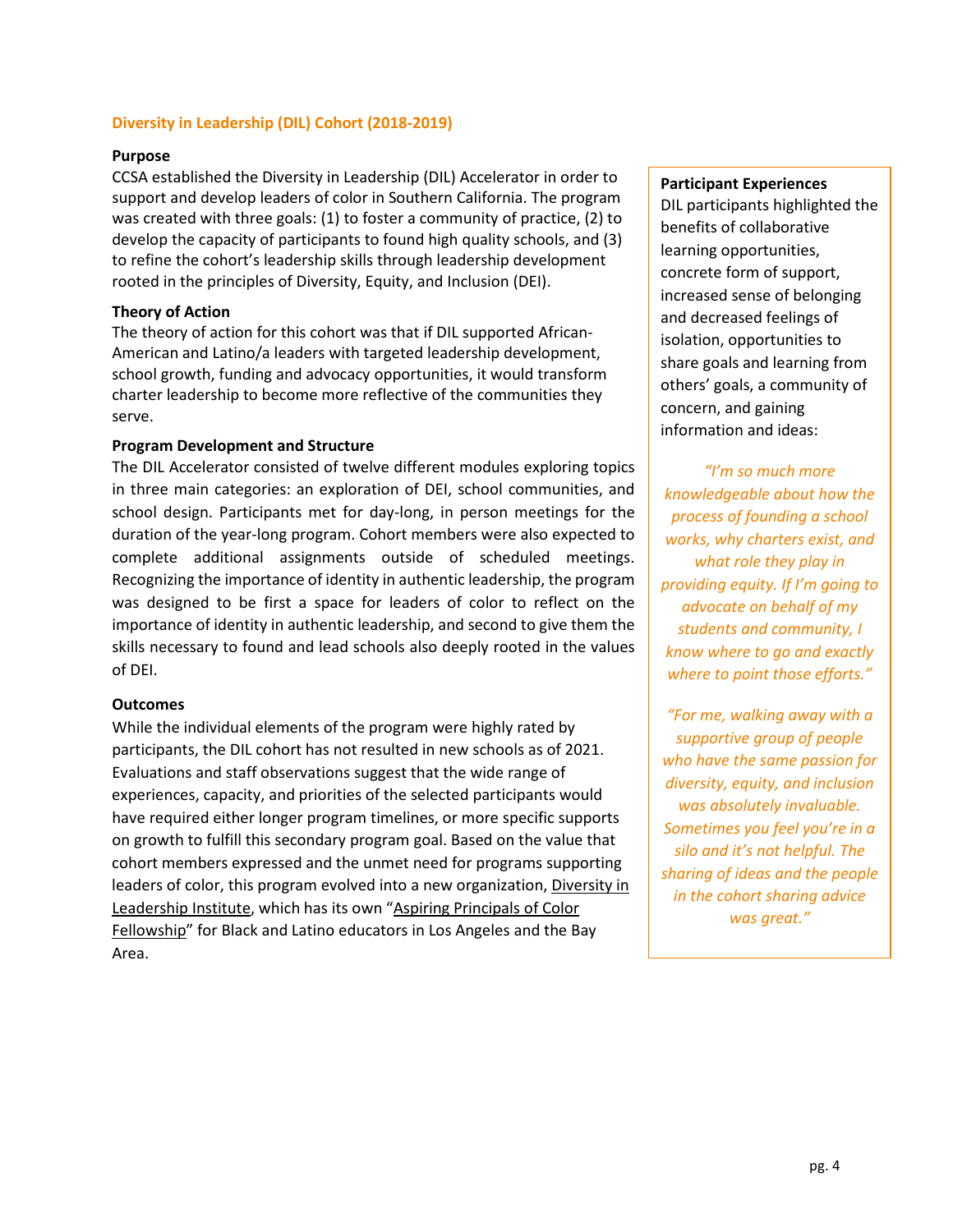## **Diversity in Leadership (DIL) Cohort (2018-2019)**

#### **Purpose**

CCSA established the Diversity in Leadership (DIL) Accelerator in order to support and develop leaders of color in Southern California. The program was created with three goals: (1) to foster a community of practice, (2) to develop the capacity of participants to found high quality schools, and (3) to refine the cohort's leadership skills through leadership development rooted in the principles of Diversity, Equity, and Inclusion (DEI).

## **Theory of Action**

The theory of action for this cohort was that if DIL supported African-American and Latino/a leaders with targeted leadership development, school growth, funding and advocacy opportunities, it would transform charter leadership to become more reflective of the communities they serve.

## **Program Development and Structure**

The DIL Accelerator consisted of twelve different modules exploring topics in three main categories: an exploration of DEI, school communities, and school design. Participants met for day-long, in person meetings for the duration of the year-long program. Cohort members were also expected to complete additional assignments outside of scheduled meetings. Recognizing the importance of identity in authentic leadership, the program was designed to be first a space for leaders of color to reflect on the importance of identity in authentic leadership, and second to give them the skills necessary to found and lead schools also deeply rooted in the values of DEI.

## **Outcomes**

While the individual elements of the program were highly rated by participants, the DIL cohort has not resulted in new schools as of 2021. Evaluations and staff observations suggest that the wide range of experiences, capacity, and priorities of the selected participants would have required either longer program timelines, or more specific supports on growth to fulfill this secondary program goal. Based on the value that cohort members expressed and the unmet need for programs supporting leaders of color, this program evolved into a new organization, [Diversity in](https://www.diversityinleadership.org/)  [Leadership Institute,](https://www.diversityinleadership.org/) which has its own ["Aspiring Principals of Color](https://www.diversityinleadership.org/fellowship)  [Fellowship"](https://www.diversityinleadership.org/fellowship) for Black and Latino educators in Los Angeles and the Bay Area.

#### **Participant Experiences**

DIL participants highlighted the benefits of collaborative learning opportunities, concrete form of support, increased sense of belonging and decreased feelings of isolation, opportunities to share goals and learning from others' goals, a community of concern, and gaining information and ideas:

*"I'm so much more knowledgeable about how the process of founding a school works, why charters exist, and what role they play in providing equity. If I'm going to advocate on behalf of my students and community, I know where to go and exactly where to point those efforts."*

*"For me, walking away with a supportive group of people who have the same passion for diversity, equity, and inclusion was absolutely invaluable. Sometimes you feel you're in a silo and it's not helpful. The sharing of ideas and the people in the cohort sharing advice was great."*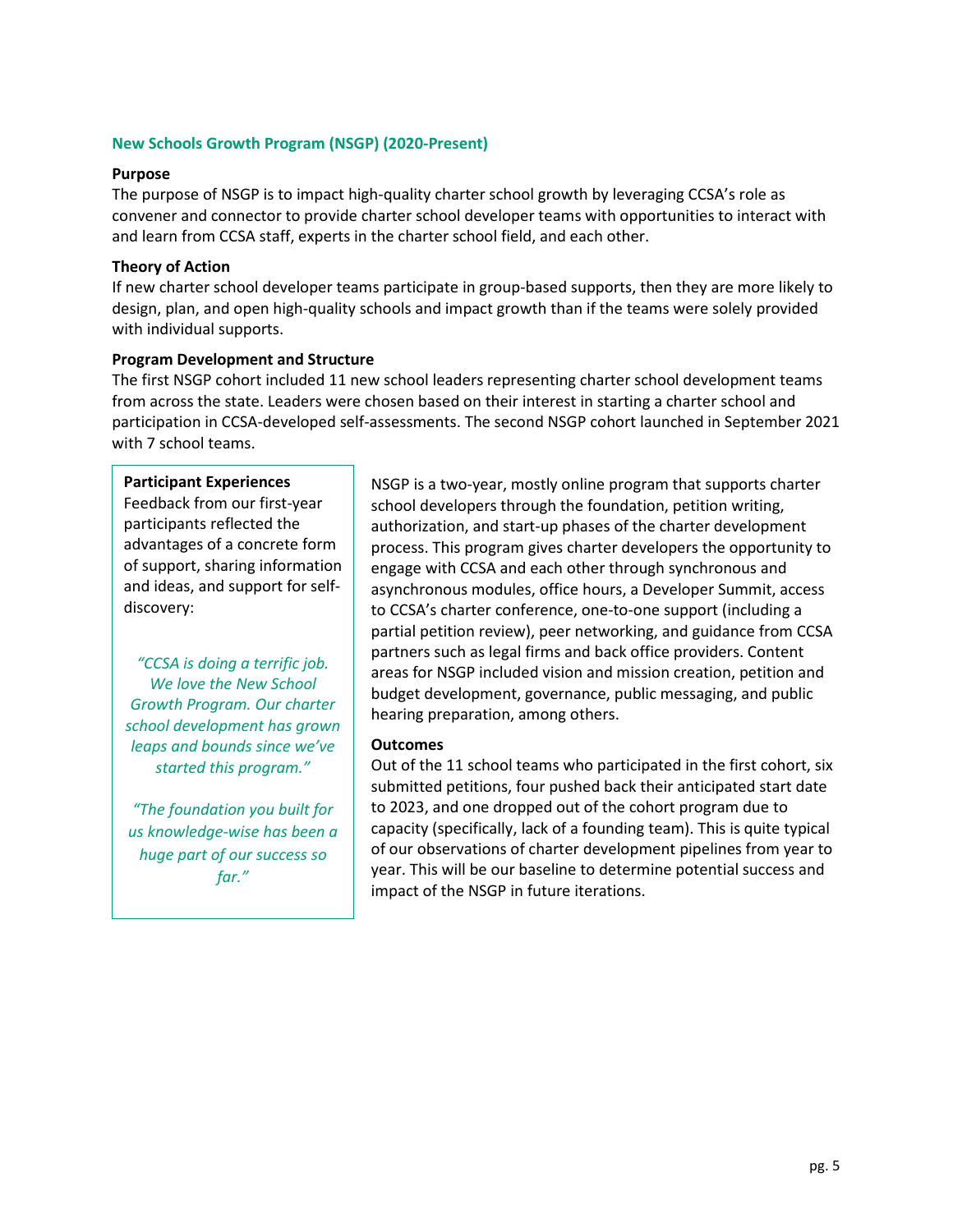## **New Schools Growth Program (NSGP) (2020-Present)**

#### **Purpose**

The purpose of NSGP is to impact high-quality charter school growth by leveraging CCSA's role as convener and connector to provide charter school developer teams with opportunities to interact with and learn from CCSA staff, experts in the charter school field, and each other.

#### **Theory of Action**

If new charter school developer teams participate in group-based supports, then they are more likely to design, plan, and open high-quality schools and impact growth than if the teams were solely provided with individual supports.

#### **Program Development and Structure**

The first NSGP cohort included 11 new school leaders representing charter school development teams from across the state. Leaders were chosen based on their interest in starting a charter school and participation in CCSA-developed self-assessments. The second NSGP cohort launched in September 2021 with 7 school teams.

#### **Participant Experiences**

Feedback from our first-year participants reflected the advantages of a concrete form of support, sharing information and ideas, and support for selfdiscovery:

*"CCSA is doing a terrific job. We love the New School Growth Program. Our charter school development has grown leaps and bounds since we've started this program."*

*"The foundation you built for us knowledge-wise has been a huge part of our success so far."*

NSGP is a two-year, mostly online program that supports charter school developers through the foundation, petition writing, authorization, and start-up phases of the charter development process. This program gives charter developers the opportunity to engage with CCSA and each other through synchronous and asynchronous modules, office hours, a Developer Summit, access to CCSA's charter conference, one-to-one support (including a partial petition review), peer networking, and guidance from CCSA partners such as legal firms and back office providers. Content areas for NSGP included vision and mission creation, petition and budget development, governance, public messaging, and public hearing preparation, among others.

#### **Outcomes**

Out of the 11 school teams who participated in the first cohort, six submitted petitions, four pushed back their anticipated start date to 2023, and one dropped out of the cohort program due to capacity (specifically, lack of a founding team). This is quite typical of our observations of charter development pipelines from year to year. This will be our baseline to determine potential success and impact of the NSGP in future iterations.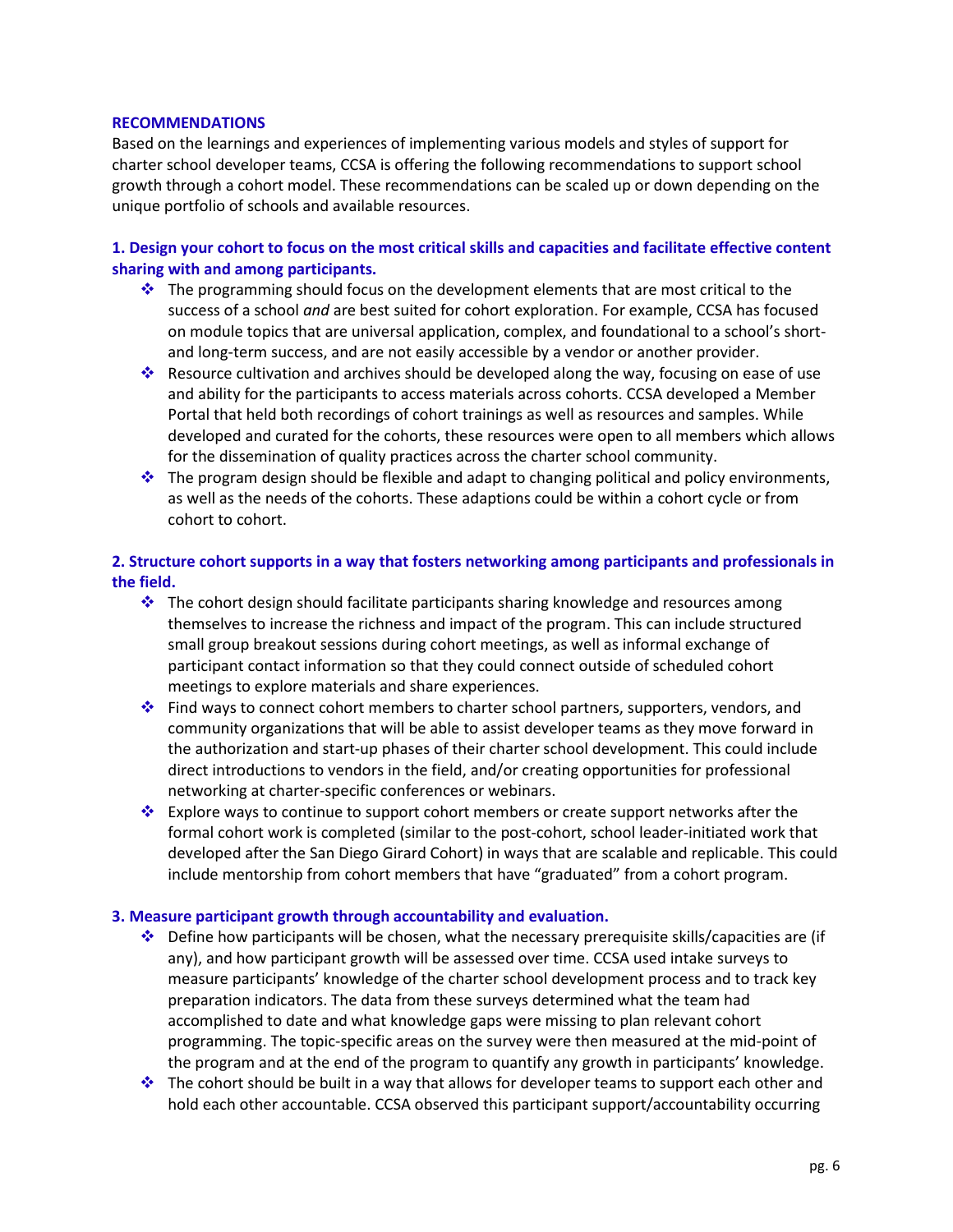#### **RECOMMENDATIONS**

Based on the learnings and experiences of implementing various models and styles of support for charter school developer teams, CCSA is offering the following recommendations to support school growth through a cohort model. These recommendations can be scaled up or down depending on the unique portfolio of schools and available resources.

## **1. Design your cohort to focus on the most critical skills and capacities and facilitate effective content sharing with and among participants.**

- $\cdot$  The programming should focus on the development elements that are most critical to the success of a school *and* are best suited for cohort exploration. For example, CCSA has focused on module topics that are universal application, complex, and foundational to a school's shortand long-term success, and are not easily accessible by a vendor or another provider.
- Resource cultivation and archives should be developed along the way, focusing on ease of use and ability for the participants to access materials across cohorts. CCSA developed a Member Portal that held both recordings of cohort trainings as well as resources and samples. While developed and curated for the cohorts, these resources were open to all members which allows for the dissemination of quality practices across the charter school community.
- $\cdot \cdot$  The program design should be flexible and adapt to changing political and policy environments, as well as the needs of the cohorts. These adaptions could be within a cohort cycle or from cohort to cohort.

## **2. Structure cohort supports in a way that fosters networking among participants and professionals in the field.**

- $\cdot$  The cohort design should facilitate participants sharing knowledge and resources among themselves to increase the richness and impact of the program. This can include structured small group breakout sessions during cohort meetings, as well as informal exchange of participant contact information so that they could connect outside of scheduled cohort meetings to explore materials and share experiences.
- Find ways to connect cohort members to charter school partners, supporters, vendors, and community organizations that will be able to assist developer teams as they move forward in the authorization and start-up phases of their charter school development. This could include direct introductions to vendors in the field, and/or creating opportunities for professional networking at charter-specific conferences or webinars.
- Explore ways to continue to support cohort members or create support networks after the formal cohort work is completed (similar to the post-cohort, school leader-initiated work that developed after the San Diego Girard Cohort) in ways that are scalable and replicable. This could include mentorship from cohort members that have "graduated" from a cohort program.

## **3. Measure participant growth through accountability and evaluation.**

- Define how participants will be chosen, what the necessary prerequisite skills/capacities are (if any), and how participant growth will be assessed over time. CCSA used intake surveys to measure participants' knowledge of the charter school development process and to track key preparation indicators. The data from these surveys determined what the team had accomplished to date and what knowledge gaps were missing to plan relevant cohort programming. The topic-specific areas on the survey were then measured at the mid-point of the program and at the end of the program to quantify any growth in participants' knowledge.
- $\cdot \cdot$  The cohort should be built in a way that allows for developer teams to support each other and hold each other accountable. CCSA observed this participant support/accountability occurring